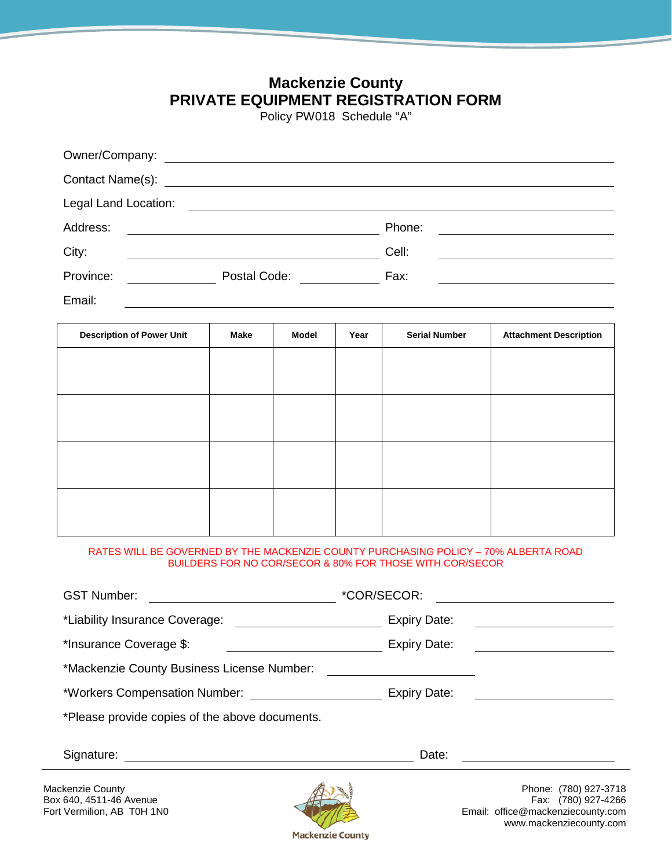## **Mackenzie County PRIVATE EQUIPMENT REGISTRATION FORM**

Policy PW018 Schedule "A"

| Legal Land Location: |                                               |                                                        |  |
|----------------------|-----------------------------------------------|--------------------------------------------------------|--|
| Address:             | <u> 1980 - Andrea Andrew Maria (h. 1980).</u> | Phone:<br><u> 1980 - Jan Samuel Barbara, martin di</u> |  |
| City:                |                                               | Cell:                                                  |  |
| Province:            | Postal Code: Notelland Section 1997           | Fax:                                                   |  |
| Email:               |                                               |                                                        |  |

| <b>Description of Power Unit</b> | Make | <b>Model</b> | Year | <b>Serial Number</b> | <b>Attachment Description</b> |
|----------------------------------|------|--------------|------|----------------------|-------------------------------|
|                                  |      |              |      |                      |                               |
|                                  |      |              |      |                      |                               |
|                                  |      |              |      |                      |                               |
|                                  |      |              |      |                      |                               |
|                                  |      |              |      |                      |                               |
|                                  |      |              |      |                      |                               |
|                                  |      |              |      |                      |                               |
|                                  |      |              |      |                      |                               |

## RATES WILL BE GOVERNED BY THE MACKENZIE COUNTY PURCHASING POLICY – 70% ALBERTA ROAD BUILDERS FOR NO COR/SECOR & 80% FOR THOSE WITH COR/SECOR

| <b>GST Number:</b>                             | *COR/SECOR:         |  |  |  |  |
|------------------------------------------------|---------------------|--|--|--|--|
| *Liability Insurance Coverage:                 | <b>Expiry Date:</b> |  |  |  |  |
| *Insurance Coverage \$:                        | <b>Expiry Date:</b> |  |  |  |  |
| *Mackenzie County Business License Number:     |                     |  |  |  |  |
| *Workers Compensation Number:                  | Expiry Date:        |  |  |  |  |
| *Please provide copies of the above documents. |                     |  |  |  |  |
| Signature:                                     | Date:               |  |  |  |  |



Mackenzie County **Phone:** (780) 927-3718<br>Box 640, 4511-46 Avenue **Phone:** (780) 927-4266 Email: office@mackenziecounty.com www.mackenziecounty.com